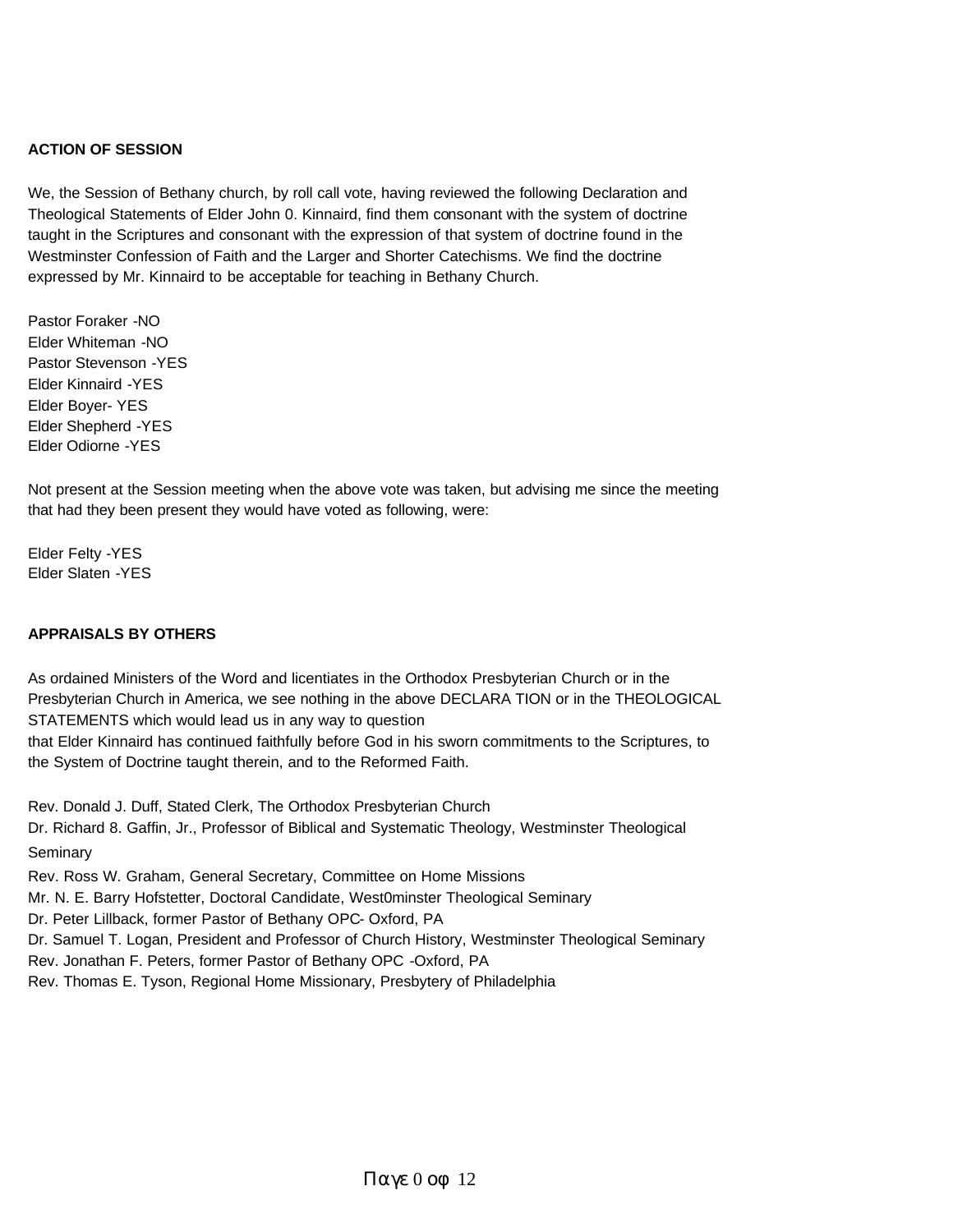#### **ACTION OF SESSION**

We, the Session of Bethany church, by roll call vote, having reviewed the following Declaration and Theological Statements of Elder John 0. Kinnaird, find them consonant with the system of doctrine taught in the Scriptures and consonant with the expression of that system of doctrine found in the Westminster Confession of Faith and the Larger and Shorter Catechisms. We find the doctrine expressed by Mr. Kinnaird to be acceptable for teaching in Bethany Church.

Pastor Foraker -NO Elder Whiteman -NO Pastor Stevenson -YES Elder Kinnaird -YES Elder Boyer- YES Elder Shepherd -YES Elder Odiorne -YES

Not present at the Session meeting when the above vote was taken, but advising me since the meeting that had they been present they would have voted as following, were:

Elder Felty -YES Elder Slaten -YES

#### **APPRAISALS BY OTHERS**

As ordained Ministers of the Word and licentiates in the Orthodox Presbyterian Church or in the Presbyterian Church in America, we see nothing in the above DECLARA TION or in the THEOLOGICAL STATEMENTS which would lead us in any way to question that Elder Kinnaird has continued faithfully before God in his sworn commitments to the Scriptures, to the System of Doctrine taught therein, and to the Reformed Faith.

Rev. Donald J. Duff, Stated Clerk, The Orthodox Presbyterian Church Dr. Richard 8. Gaffin, Jr., Professor of Biblical and Systematic Theology, Westminster Theological Seminary Rev. Ross W. Graham, General Secretary, Committee on Home Missions Mr. N. E. Barry Hofstetter, Doctoral Candidate, West0minster Theological Seminary Dr. Peter Lillback, former Pastor of Bethany OPC- Oxford, PA Dr. Samuel T. Logan, President and Professor of Church History, Westminster Theological Seminary Rev. Jonathan F. Peters, former Pastor of Bethany OPC -Oxford, PA

Rev. Thomas E. Tyson, Regional Home Missionary, Presbytery of Philadelphia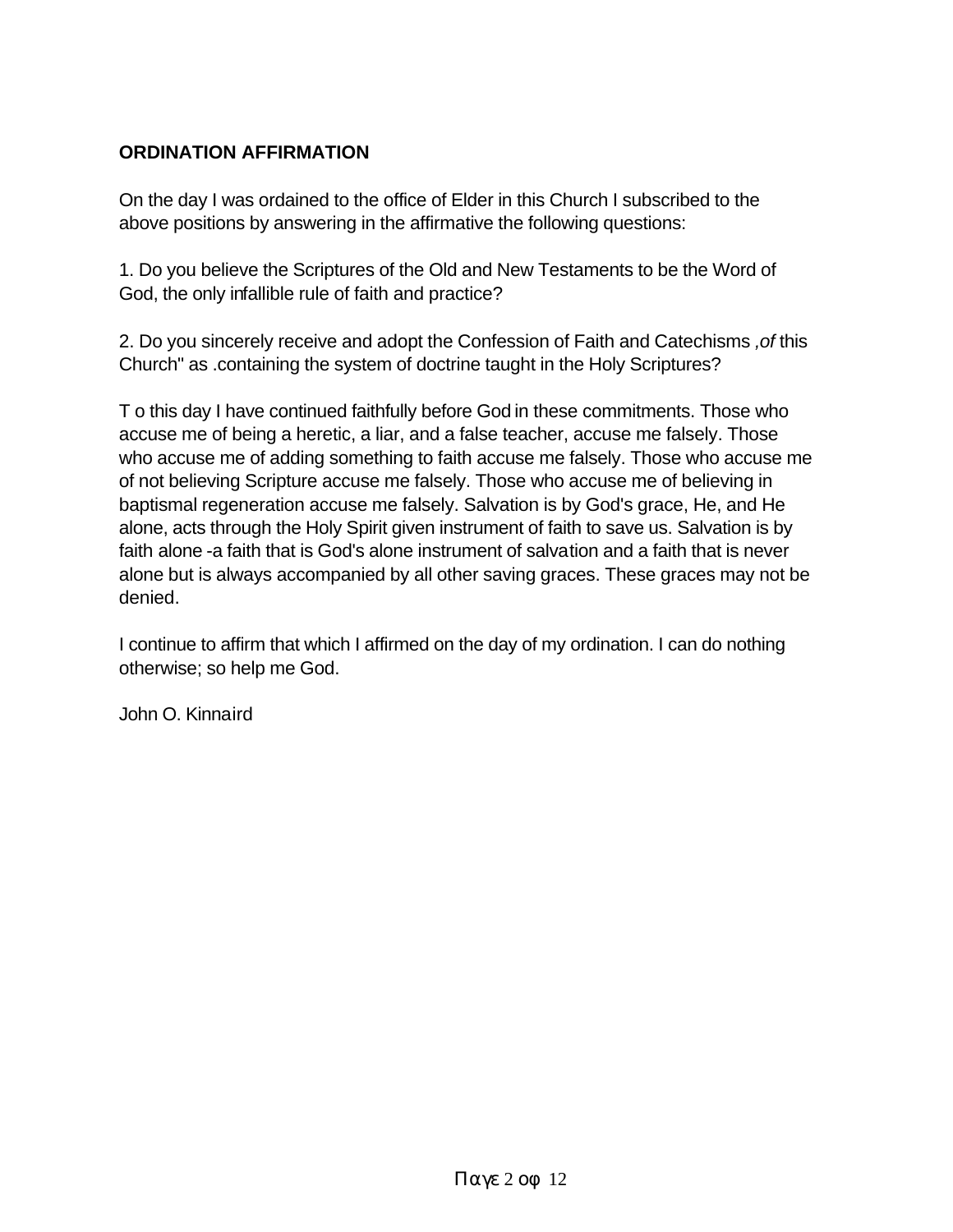## **ORDINATION AFFIRMATION**

On the day I was ordained to the office of Elder in this Church I subscribed to the above positions by answering in the affirmative the following questions:

1. Do you believe the Scriptures of the Old and New Testaments to be the Word of God, the only infallible rule of faith and practice?

2. Do you sincerely receive and adopt the Confession of Faith and Catechisms *,of* this Church" as .containing the system of doctrine taught in the Holy Scriptures?

T o this day I have continued faithfully before God in these commitments. Those who accuse me of being a heretic, a liar, and a false teacher, accuse me falsely. Those who accuse me of adding something to faith accuse me falsely. Those who accuse me of not believing Scripture accuse me falsely. Those who accuse me of believing in baptismal regeneration accuse me falsely. Salvation is by God's grace, He, and He alone, acts through the Holy Spirit given instrument of faith to save us. Salvation is by faith alone -a faith that is God's alone instrument of salvation and a faith that is never alone but is always accompanied by all other saving graces. These graces may not be denied.

I continue to affirm that which I affirmed on the day of my ordination. I can do nothing otherwise; so help me God.

John O. Kinnaird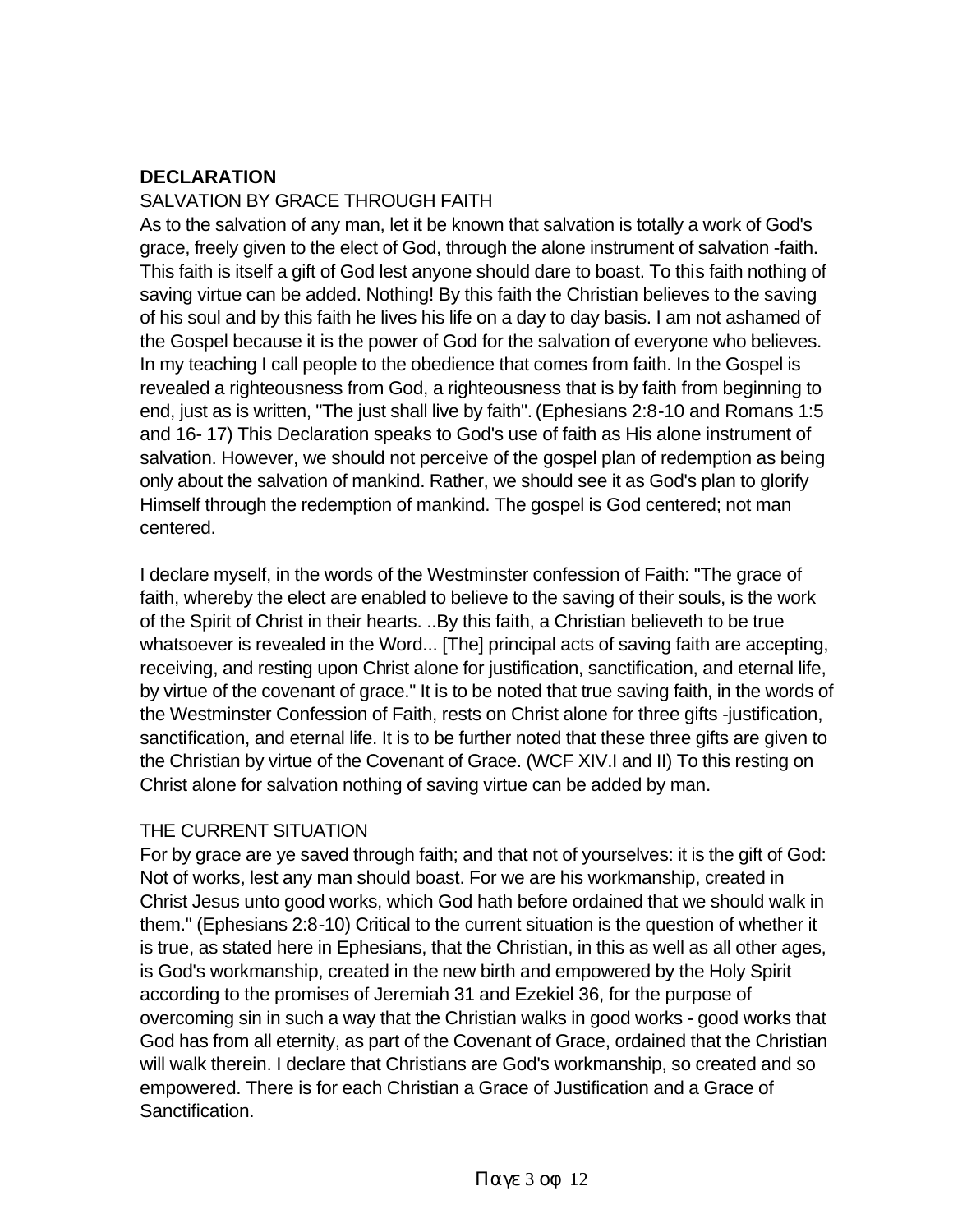# **DECLARATION**

#### SALVATION BY GRACE THROUGH FAITH

As to the salvation of any man, let it be known that salvation is totally a work of God's grace, freely given to the elect of God, through the alone instrument of salvation -faith. This faith is itself a gift of God lest anyone should dare to boast. To this faith nothing of saving virtue can be added. Nothing! By this faith the Christian believes to the saving of his soul and by this faith he lives his life on a day to day basis. I am not ashamed of the Gospel because it is the power of God for the salvation of everyone who believes. In my teaching I call people to the obedience that comes from faith. In the Gospel is revealed a righteousness from God, a righteousness that is by faith from beginning to end, just as is written, "The just shall live by faith". (Ephesians 2:8-10 and Romans 1:5 and 16- 17) This Declaration speaks to God's use of faith as His alone instrument of salvation. However, we should not perceive of the gospel plan of redemption as being only about the salvation of mankind. Rather, we should see it as God's plan to glorify Himself through the redemption of mankind. The gospel is God centered; not man centered.

I declare myself, in the words of the Westminster confession of Faith: "The grace of faith, whereby the elect are enabled to believe to the saving of their souls, is the work of the Spirit of Christ in their hearts. ..By this faith, a Christian believeth to be true whatsoever is revealed in the Word... [The] principal acts of saving faith are accepting, receiving, and resting upon Christ alone for justification, sanctification, and eternal life, by virtue of the covenant of grace." It is to be noted that true saving faith, in the words of the Westminster Confession of Faith, rests on Christ alone for three gifts -justification, sanctification, and eternal life. It is to be further noted that these three gifts are given to the Christian by virtue of the Covenant of Grace. (WCF XIV.I and II) To this resting on Christ alone for salvation nothing of saving virtue can be added by man.

#### THE CURRENT SITUATION

For by grace are ye saved through faith; and that not of yourselves: it is the gift of God: Not of works, lest any man should boast. For we are his workmanship, created in Christ Jesus unto good works, which God hath before ordained that we should walk in them." (Ephesians 2:8-10) Critical to the current situation is the question of whether it is true, as stated here in Ephesians, that the Christian, in this as well as all other ages, is God's workmanship, created in the new birth and empowered by the Holy Spirit according to the promises of Jeremiah 31 and Ezekiel 36, for the purpose of overcoming sin in such a way that the Christian walks in good works - good works that God has from all eternity, as part of the Covenant of Grace, ordained that the Christian will walk therein. I declare that Christians are God's workmanship, so created and so empowered. There is for each Christian a Grace of Justification and a Grace of Sanctification.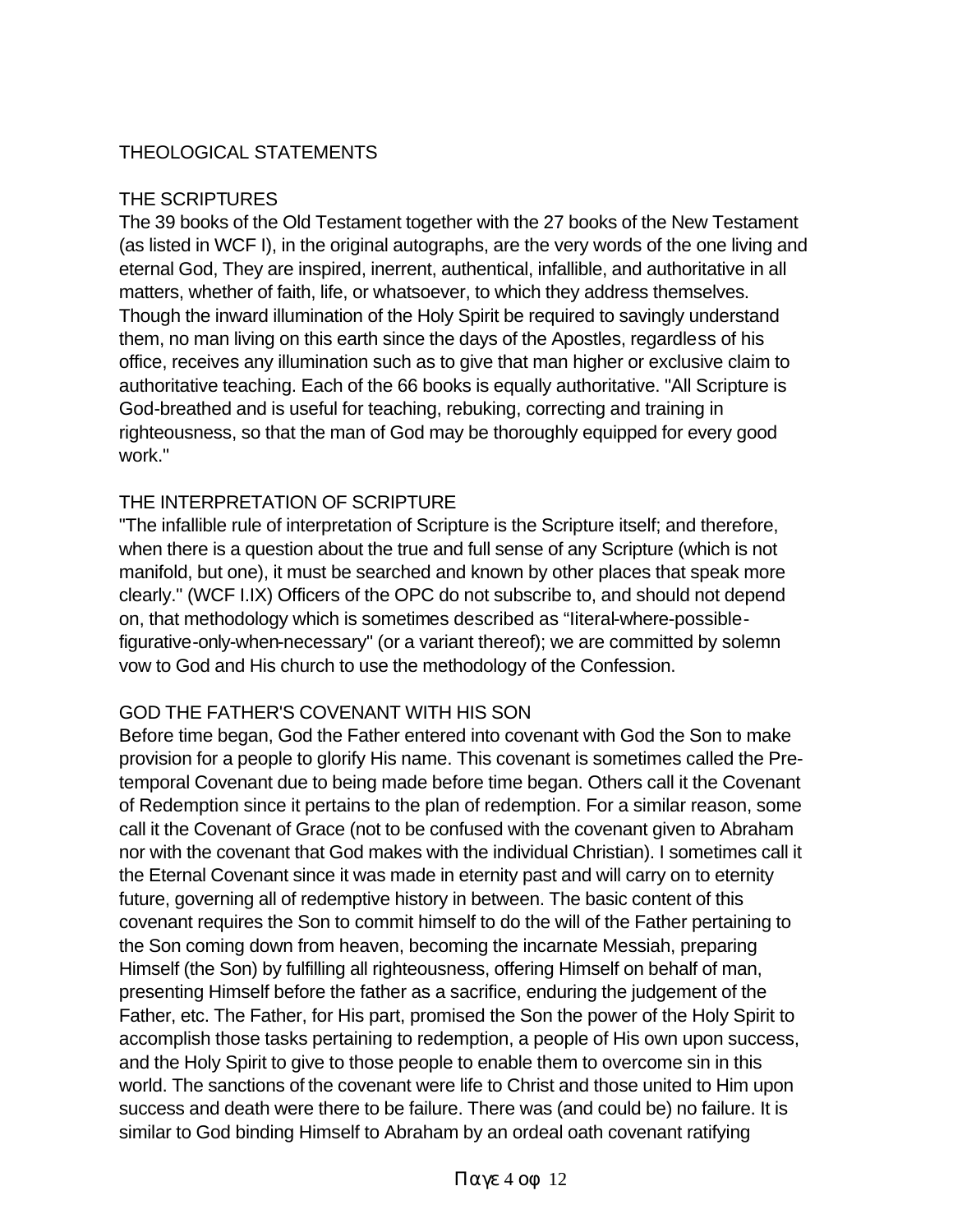# THEOLOGICAL STATEMENTS

## THE SCRIPTURES

The 39 books of the Old Testament together with the 27 books of the New Testament (as listed in WCF I), in the original autographs, are the very words of the one living and eternal God, They are inspired, inerrent, authentical, infallible, and authoritative in all matters, whether of faith, life, or whatsoever, to which they address themselves. Though the inward illumination of the Holy Spirit be required to savingly understand them, no man living on this earth since the days of the Apostles, regardless of his office, receives any illumination such as to give that man higher or exclusive claim to authoritative teaching. Each of the 66 books is equally authoritative. "All Scripture is God-breathed and is useful for teaching, rebuking, correcting and training in righteousness, so that the man of God may be thoroughly equipped for every good work."

#### THE INTERPRETATION OF SCRIPTURE

"The infallible rule of interpretation of Scripture is the Scripture itself; and therefore, when there is a question about the true and full sense of any Scripture (which is not manifold, but one), it must be searched and known by other places that speak more clearly." (WCF I.IX) Officers of the OPC do not subscribe to, and should not depend on, that methodology which is sometimes described as "Iiteral-where-possiblefigurative-only-when-necessary" (or a variant thereof); we are committed by solemn vow to God and His church to use the methodology of the Confession.

## GOD THE FATHER'S COVENANT WITH HIS SON

Before time began, God the Father entered into covenant with God the Son to make provision for a people to glorify His name. This covenant is sometimes called the Pretemporal Covenant due to being made before time began. Others call it the Covenant of Redemption since it pertains to the plan of redemption. For a similar reason, some call it the Covenant of Grace (not to be confused with the covenant given to Abraham nor with the covenant that God makes with the individual Christian). I sometimes call it the Eternal Covenant since it was made in eternity past and will carry on to eternity future, governing all of redemptive history in between. The basic content of this covenant requires the Son to commit himself to do the will of the Father pertaining to the Son coming down from heaven, becoming the incarnate Messiah, preparing Himself (the Son) by fulfilling all righteousness, offering Himself on behalf of man, presenting Himself before the father as a sacrifice, enduring the judgement of the Father, etc. The Father, for His part, promised the Son the power of the Holy Spirit to accomplish those tasks pertaining to redemption, a people of His own upon success, and the Holy Spirit to give to those people to enable them to overcome sin in this world. The sanctions of the covenant were life to Christ and those united to Him upon success and death were there to be failure. There was (and could be) no failure. It is similar to God binding Himself to Abraham by an ordeal oath covenant ratifying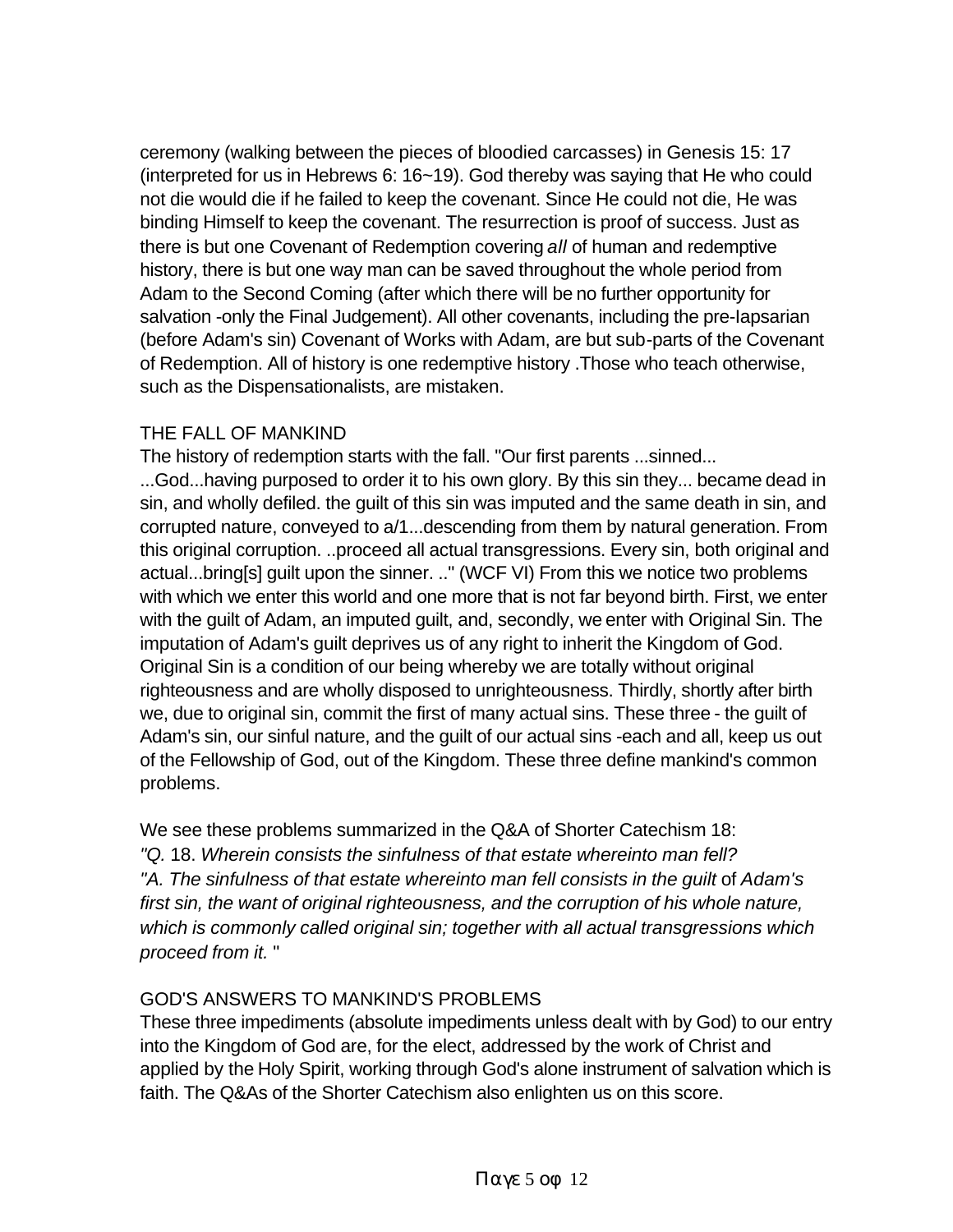ceremony (walking between the pieces of bloodied carcasses) in Genesis 15: 17 (interpreted for us in Hebrews 6: 16~19). God thereby was saying that He who could not die would die if he failed to keep the covenant. Since He could not die, He was binding Himself to keep the covenant. The resurrection is proof of success. Just as there is but one Covenant of Redemption covering *all* of human and redemptive history, there is but one way man can be saved throughout the whole period from Adam to the Second Coming (after which there will be no further opportunity for salvation -only the Final Judgement). All other covenants, including the pre-Iapsarian (before Adam's sin) Covenant of Works with Adam, are but sub-parts of the Covenant of Redemption. All of history is one redemptive history .Those who teach otherwise, such as the Dispensationalists, are mistaken.

# THE FALL OF MANKIND

The history of redemption starts with the fall. "Our first parents ...sinned... ...God...having purposed to order it to his own glory. By this sin they... became dead in sin, and wholly defiled. the guilt of this sin was imputed and the same death in sin, and corrupted nature, conveyed to a/1...descending from them by natural generation. From this original corruption. ..proceed all actual transgressions. Every sin, both original and actual...bring[s] guilt upon the sinner. .." (WCF VI) From this we notice two problems with which we enter this world and one more that is not far beyond birth. First, we enter with the guilt of Adam, an imputed guilt, and, secondly, we enter with Original Sin. The imputation of Adam's guilt deprives us of any right to inherit the Kingdom of God. Original Sin is a condition of our being whereby we are totally without original righteousness and are wholly disposed to unrighteousness. Thirdly, shortly after birth we, due to original sin, commit the first of many actual sins. These three - the guilt of Adam's sin, our sinful nature, and the guilt of our actual sins -each and all, keep us out of the Fellowship of God, out of the Kingdom. These three define mankind's common problems.

We see these problems summarized in the Q&A of Shorter Catechism 18: *"Q.* 18. *Wherein consists the sinfulness of that estate whereinto man fell?*  "A. The sinfulness of that estate whereinto man fell consists in the guilt of Adam's *first sin, the want of original righteousness, and the corruption of his whole nature, which is commonly called original sin; together with all actual transgressions which proceed from it.* "

# GOD'S ANSWERS TO MANKIND'S PROBLEMS

These three impediments (absolute impediments unless dealt with by God) to our entry into the Kingdom of God are, for the elect, addressed by the work of Christ and applied by the Holy Spirit, working through God's alone instrument of salvation which is faith. The Q&As of the Shorter Catechism also enlighten us on this score.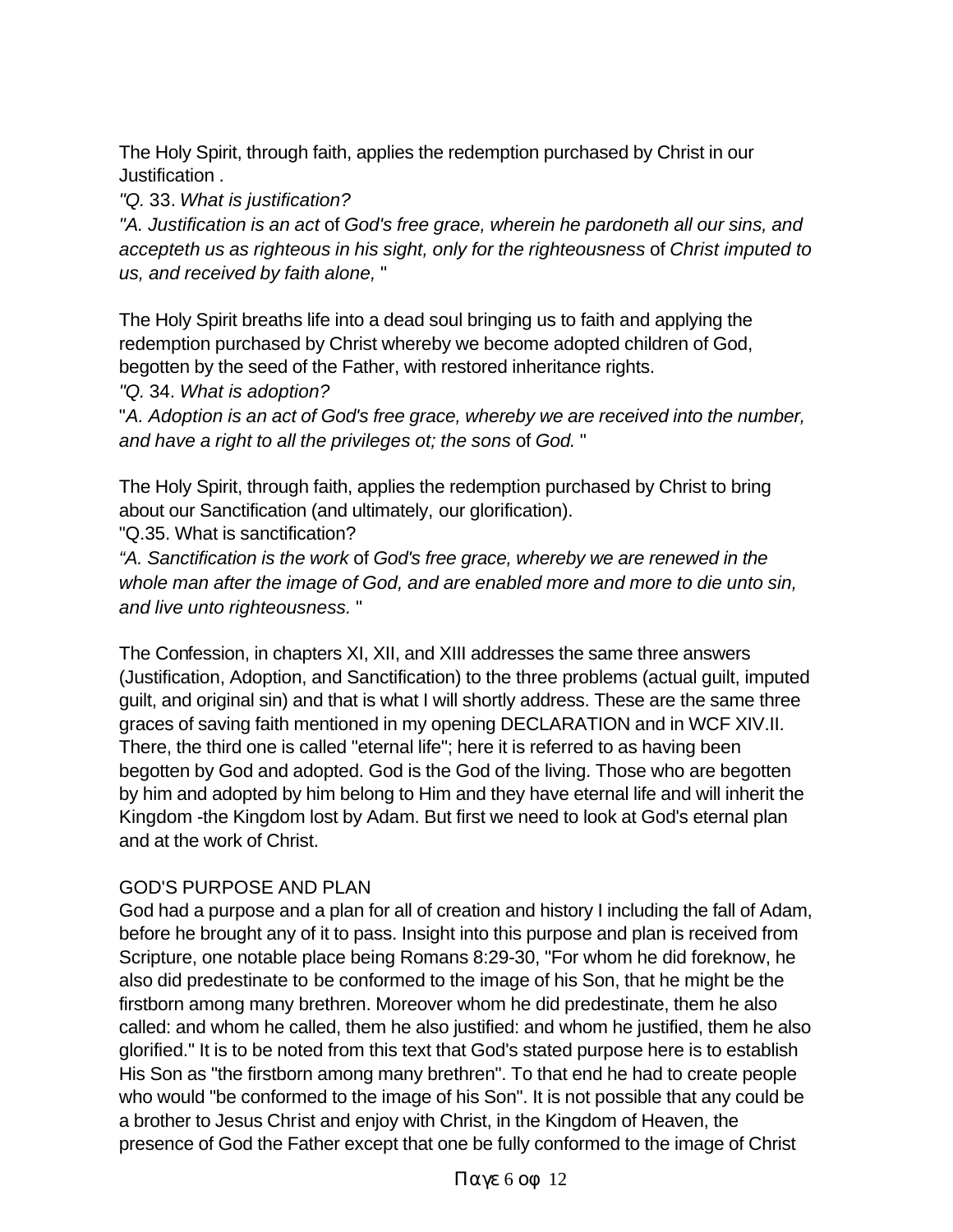The Holy Spirit, through faith, applies the redemption purchased by Christ in our Justification .

*"Q.* 33. *What is justification?* 

*"A. Justification is an act* of *God's free grace, wherein he pardoneth all our sins, and accepteth us as righteous in his sight, only for the righteousness* of *Christ imputed to us, and received by faith alone,* "

The Holy Spirit breaths life into a dead soul bringing us to faith and applying the redemption purchased by Christ whereby we become adopted children of God, begotten by the seed of the Father, with restored inheritance rights.

*"Q.* 34. *What is adoption?* 

"*A. Adoption is an act of God's free grace, whereby we are received into the number, and have a right to all the privileges ot; the sons* of *God.* "

The Holy Spirit, through faith, applies the redemption purchased by Christ to bring about our Sanctification (and ultimately, our glorification).

"Q.35. What is sanctification?

*"A. Sanctification is the work* of *God's free grace, whereby we are renewed in the whole man after the image of God, and are enabled more and more to die unto sin, and live unto righteousness.* "

The Confession, in chapters XI, XII, and XIII addresses the same three answers (Justification, Adoption, and Sanctification) to the three problems (actual guilt, imputed guilt, and original sin) and that is what I will shortly address. These are the same three graces of saving faith mentioned in my opening DECLARATION and in WCF XIV.II. There, the third one is called "eternal life"; here it is referred to as having been begotten by God and adopted. God is the God of the living. Those who are begotten by him and adopted by him belong to Him and they have eternal life and will inherit the Kingdom -the Kingdom lost by Adam. But first we need to look at God's eternal plan and at the work of Christ.

## GOD'S PURPOSE AND PLAN

God had a purpose and a plan for all of creation and history I including the fall of Adam, before he brought any of it to pass. Insight into this purpose and plan is received from Scripture, one notable place being Romans 8:29-30, "For whom he did foreknow, he also did predestinate to be conformed to the image of his Son, that he might be the firstborn among many brethren. Moreover whom he did predestinate, them he also called: and whom he called, them he also justified: and whom he justified, them he also glorified." It is to be noted from this text that God's stated purpose here is to establish His Son as "the firstborn among many brethren". To that end he had to create people who would "be conformed to the image of his Son". It is not possible that any could be a brother to Jesus Christ and enjoy with Christ, in the Kingdom of Heaven, the presence of God the Father except that one be fully conformed to the image of Christ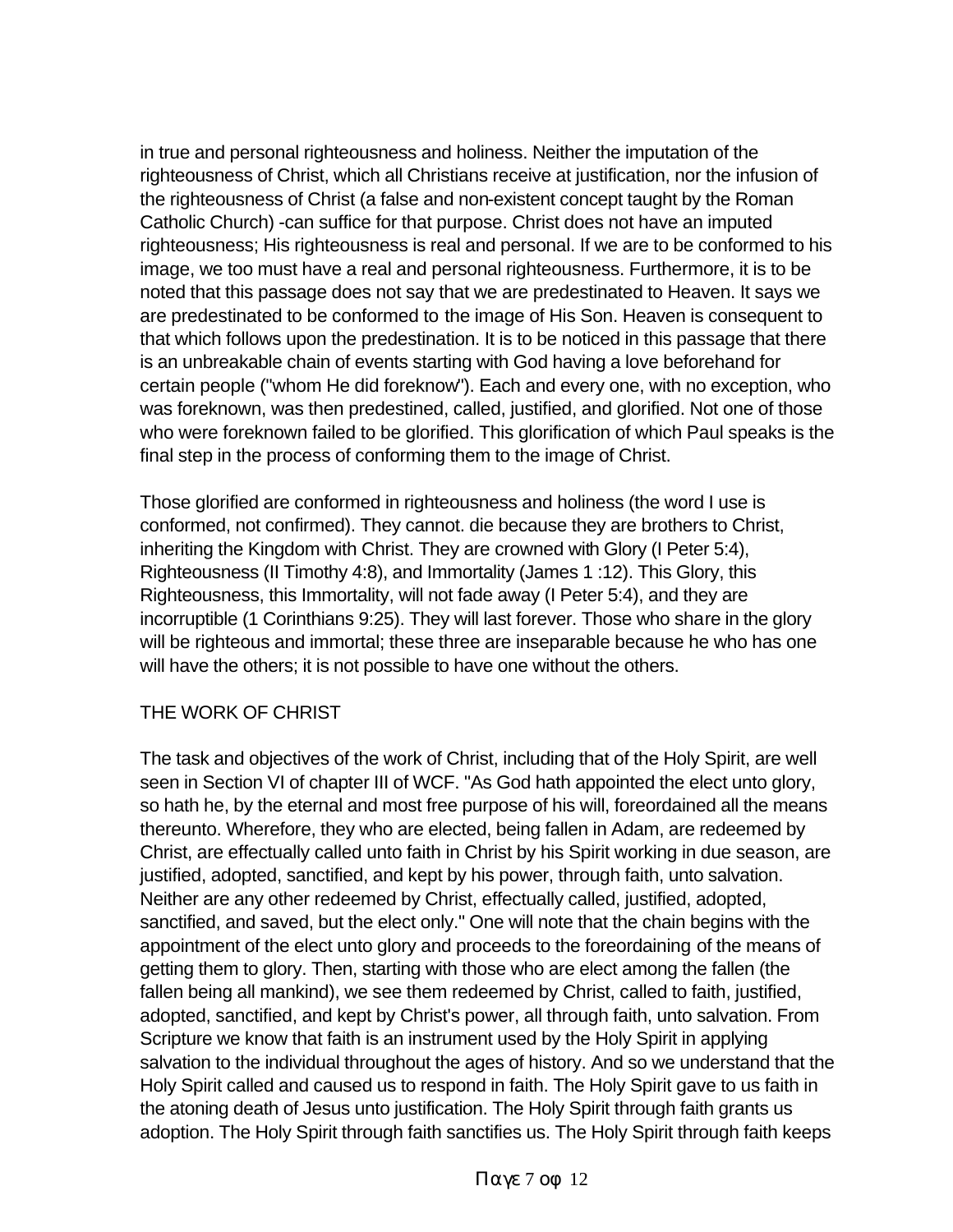in true and personal righteousness and holiness. Neither the imputation of the righteousness of Christ, which all Christians receive at justification, nor the infusion of the righteousness of Christ (a false and non-existent concept taught by the Roman Catholic Church) -can suffice for that purpose. Christ does not have an imputed righteousness; His righteousness is real and personal. If we are to be conformed to his image, we too must have a real and personal righteousness. Furthermore, it is to be noted that this passage does not say that we are predestinated to Heaven. It says we are predestinated to be conformed to the image of His Son. Heaven is consequent to that which follows upon the predestination. It is to be noticed in this passage that there is an unbreakable chain of events starting with God having a love beforehand for certain people ("whom He did foreknow"). Each and every one, with no exception, who was foreknown, was then predestined, called, justified, and glorified. Not one of those who were foreknown failed to be glorified. This glorification of which Paul speaks is the final step in the process of conforming them to the image of Christ.

Those glorified are conformed in righteousness and holiness (the word I use is conformed, not confirmed). They cannot. die because they are brothers to Christ, inheriting the Kingdom with Christ. They are crowned with Glory (I Peter 5:4), Righteousness (II Timothy 4:8), and Immortality (James 1 :12). This Glory, this Righteousness, this Immortality, will not fade away (I Peter 5:4), and they are incorruptible (1 Corinthians 9:25). They will last forever. Those who share in the glory will be righteous and immortal; these three are inseparable because he who has one will have the others; it is not possible to have one without the others.

## THE WORK OF CHRIST

The task and objectives of the work of Christ, including that of the Holy Spirit, are well seen in Section VI of chapter III of WCF. "As God hath appointed the elect unto glory, so hath he, by the eternal and most free purpose of his will, foreordained all the means thereunto. Wherefore, they who are elected, being fallen in Adam, are redeemed by Christ, are effectually called unto faith in Christ by his Spirit working in due season, are justified, adopted, sanctified, and kept by his power, through faith, unto salvation. Neither are any other redeemed by Christ, effectually called, justified, adopted, sanctified, and saved, but the elect only." One will note that the chain begins with the appointment of the elect unto glory and proceeds to the foreordaining of the means of getting them to glory. Then, starting with those who are elect among the fallen (the fallen being all mankind), we see them redeemed by Christ, called to faith, justified, adopted, sanctified, and kept by Christ's power, all through faith, unto salvation. From Scripture we know that faith is an instrument used by the Holy Spirit in applying salvation to the individual throughout the ages of history. And so we understand that the Holy Spirit called and caused us to respond in faith. The Holy Spirit gave to us faith in the atoning death of Jesus unto justification. The Holy Spirit through faith grants us adoption. The Holy Spirit through faith sanctifies us. The Holy Spirit through faith keeps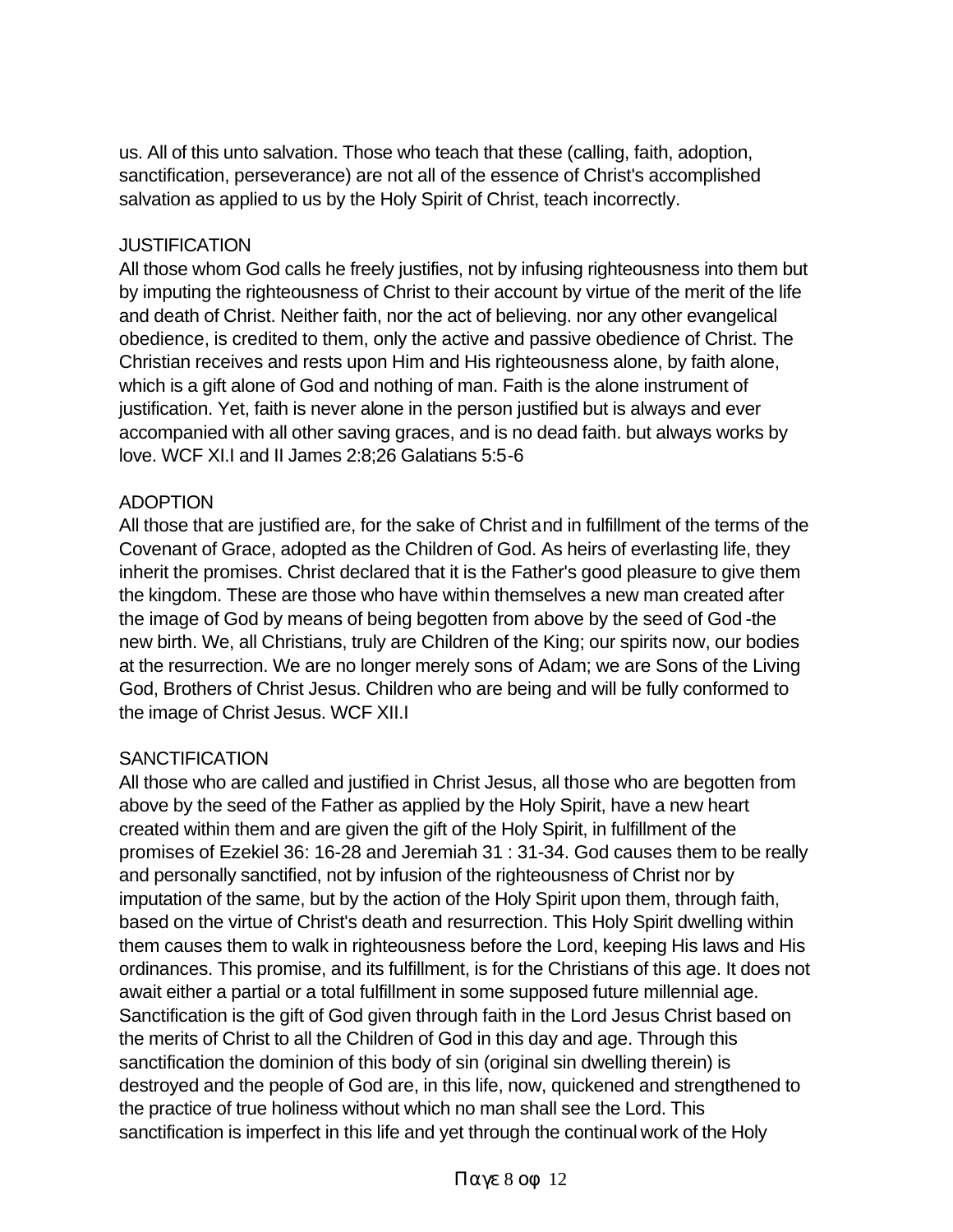us. All of this unto salvation. Those who teach that these (calling, faith, adoption, sanctification, perseverance) are not all of the essence of Christ's accomplished salvation as applied to us by the Holy Spirit of Christ, teach incorrectly.

#### **JUSTIFICATION**

All those whom God calls he freely justifies, not by infusing righteousness into them but by imputing the righteousness of Christ to their account by virtue of the merit of the life and death of Christ. Neither faith, nor the act of believing. nor any other evangelical obedience, is credited to them, only the active and passive obedience of Christ. The Christian receives and rests upon Him and His righteousness alone, by faith alone, which is a gift alone of God and nothing of man. Faith is the alone instrument of justification. Yet, faith is never alone in the person justified but is always and ever accompanied with all other saving graces, and is no dead faith. but always works by love. WCF XI.I and II James 2:8;26 Galatians 5:5-6

#### ADOPTION

All those that are justified are, for the sake of Christ and in fulfillment of the terms of the Covenant of Grace, adopted as the Children of God. As heirs of everlasting life, they inherit the promises. Christ declared that it is the Father's good pleasure to give them the kingdom. These are those who have within themselves a new man created after the image of God by means of being begotten from above by the seed of God -the new birth. We, all Christians, truly are Children of the King; our spirits now, our bodies at the resurrection. We are no longer merely sons of Adam; we are Sons of the Living God, Brothers of Christ Jesus. Children who are being and will be fully conformed to the image of Christ Jesus. WCF XII.I

#### **SANCTIFICATION**

All those who are called and justified in Christ Jesus, all those who are begotten from above by the seed of the Father as applied by the Holy Spirit, have a new heart created within them and are given the gift of the Holy Spirit, in fulfillment of the promises of Ezekiel 36: 16-28 and Jeremiah 31 : 31-34. God causes them to be really and personally sanctified, not by infusion of the righteousness of Christ nor by imputation of the same, but by the action of the Holy Spirit upon them, through faith, based on the virtue of Christ's death and resurrection. This Holy Spirit dwelling within them causes them to walk in righteousness before the Lord, keeping His laws and His ordinances. This promise, and its fulfillment, is for the Christians of this age. It does not await either a partial or a total fulfillment in some supposed future millennial age. Sanctification is the gift of God given through faith in the Lord Jesus Christ based on the merits of Christ to all the Children of God in this day and age. Through this sanctification the dominion of this body of sin (original sin dwelling therein) is destroyed and the people of God are, in this life, now, quickened and strengthened to the practice of true holiness without which no man shall see the Lord. This sanctification is imperfect in this life and yet through the continual work of the Holy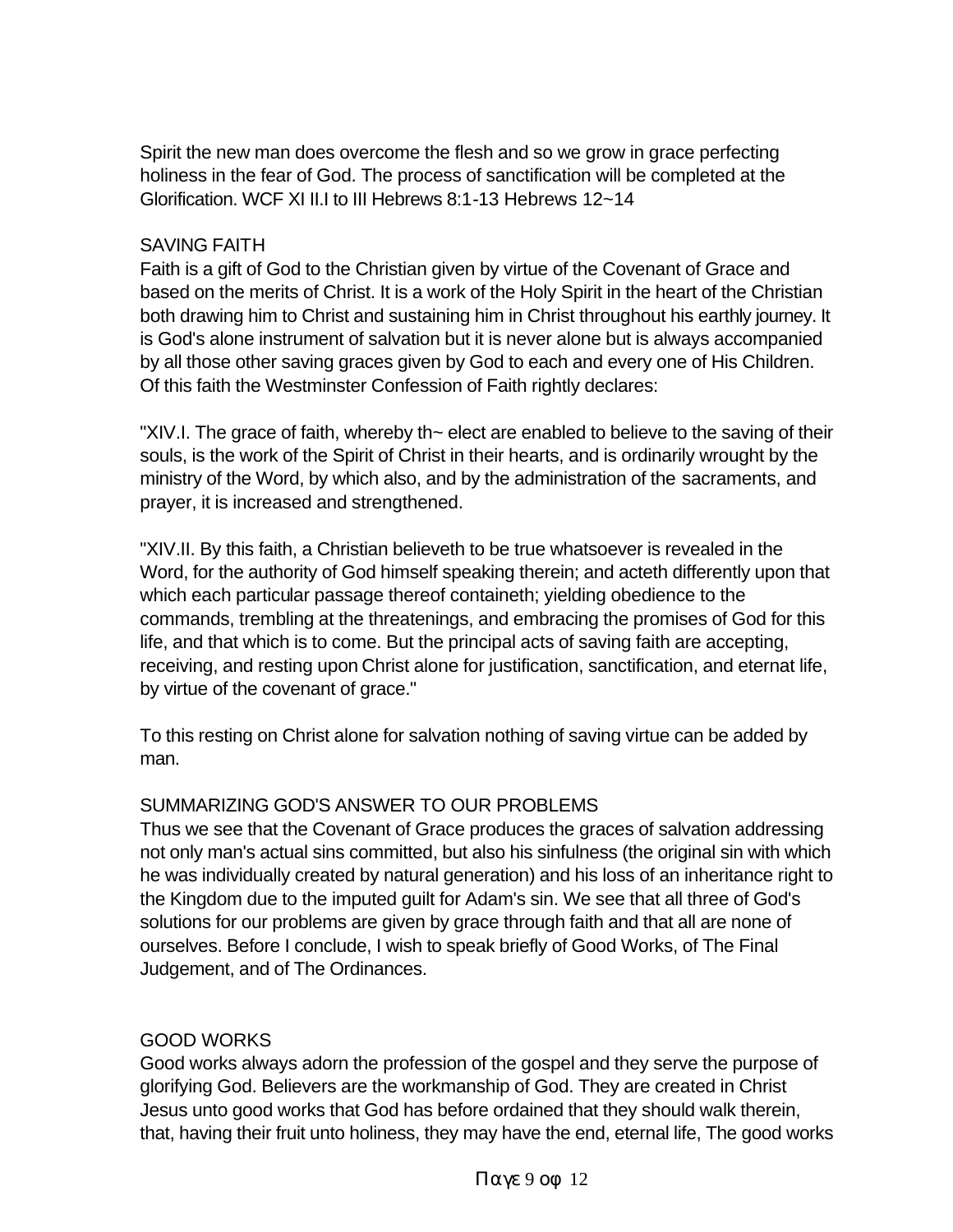Spirit the new man does overcome the flesh and so we grow in grace perfecting holiness in the fear of God. The process of sanctification will be completed at the Glorification. WCF XI II.I to III Hebrews 8:1-13 Hebrews 12~14

#### SAVING FAITH

Faith is a gift of God to the Christian given by virtue of the Covenant of Grace and based on the merits of Christ. It is a work of the Holy Spirit in the heart of the Christian both drawing him to Christ and sustaining him in Christ throughout his earthly journey. It is God's alone instrument of salvation but it is never alone but is always accompanied by all those other saving graces given by God to each and every one of His Children. Of this faith the Westminster Confession of Faith rightly declares:

"XIV.I. The grace of faith, whereby th~ elect are enabled to believe to the saving of their souls, is the work of the Spirit of Christ in their hearts, and is ordinarily wrought by the ministry of the Word, by which also, and by the administration of the sacraments, and prayer, it is increased and strengthened.

"XIV.II. By this faith, a Christian believeth to be true whatsoever is revealed in the Word, for the authority of God himself speaking therein; and acteth differently upon that which each particular passage thereof containeth; yielding obedience to the commands, trembling at the threatenings, and embracing the promises of God for this life, and that which is to come. But the principal acts of saving faith are accepting, receiving, and resting upon Christ alone for justification, sanctification, and eternat life, by virtue of the covenant of grace."

To this resting on Christ alone for salvation nothing of saving virtue can be added by man.

## SUMMARIZING GOD'S ANSWER TO OUR PROBLEMS

Thus we see that the Covenant of Grace produces the graces of salvation addressing not only man's actual sins committed, but also his sinfulness (the original sin with which he was individually created by natural generation) and his loss of an inheritance right to the Kingdom due to the imputed guilt for Adam's sin. We see that all three of God's solutions for our problems are given by grace through faith and that all are none of ourselves. Before I conclude, I wish to speak briefly of Good Works, of The Final Judgement, and of The Ordinances.

## GOOD WORKS

Good works always adorn the profession of the gospel and they serve the purpose of glorifying God. Believers are the workmanship of God. They are created in Christ Jesus unto good works that God has before ordained that they should walk therein, that, having their fruit unto holiness, they may have the end, eternal life, The good works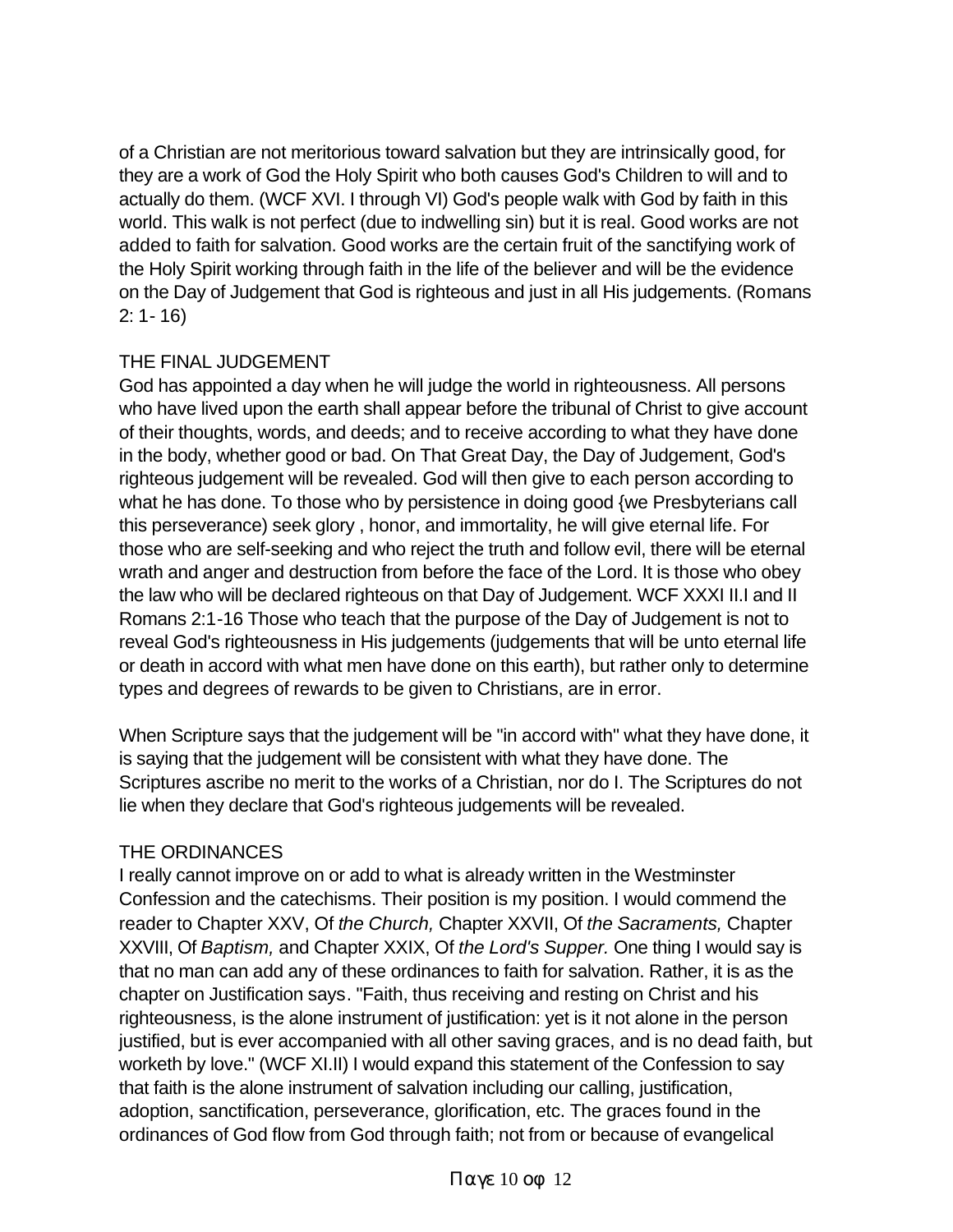of a Christian are not meritorious toward salvation but they are intrinsically good, for they are a work of God the Holy Spirit who both causes God's Children to will and to actually do them. (WCF XVI. I through VI) God's people walk with God by faith in this world. This walk is not perfect (due to indwelling sin) but it is real. Good works are not added to faith for salvation. Good works are the certain fruit of the sanctifying work of the Holy Spirit working through faith in the life of the believer and will be the evidence on the Day of Judgement that God is righteous and just in all His judgements. (Romans 2: 1- 16)

## THE FINAL JUDGEMENT

God has appointed a day when he will judge the world in righteousness. All persons who have lived upon the earth shall appear before the tribunal of Christ to give account of their thoughts, words, and deeds; and to receive according to what they have done in the body, whether good or bad. On That Great Day, the Day of Judgement, God's righteous judgement will be revealed. God will then give to each person according to what he has done. To those who by persistence in doing good {we Presbyterians call this perseverance) seek glory , honor, and immortality, he will give eternal life. For those who are self-seeking and who reject the truth and follow evil, there will be eternal wrath and anger and destruction from before the face of the Lord. It is those who obey the law who will be declared righteous on that Day of Judgement. WCF XXXI II.I and II Romans 2:1-16 Those who teach that the purpose of the Day of Judgement is not to reveal God's righteousness in His judgements (judgements that will be unto eternal life or death in accord with what men have done on this earth), but rather only to determine types and degrees of rewards to be given to Christians, are in error.

When Scripture says that the judgement will be "in accord with" what they have done, it is saying that the judgement will be consistent with what they have done. The Scriptures ascribe no merit to the works of a Christian, nor do I. The Scriptures do not lie when they declare that God's righteous judgements will be revealed.

## THE ORDINANCES

I really cannot improve on or add to what is already written in the Westminster Confession and the catechisms. Their position is my position. I would commend the reader to Chapter XXV, Of *the Church,* Chapter XXVII, Of *the Sacraments,* Chapter XXVIII, Of *Baptism,* and Chapter XXIX, Of *the Lord's Supper.* One thing I would say is that no man can add any of these ordinances to faith for salvation. Rather, it is as the chapter on Justification says. "Faith, thus receiving and resting on Christ and his righteousness, is the alone instrument of justification: yet is it not alone in the person justified, but is ever accompanied with all other saving graces, and is no dead faith, but worketh by love." (WCF XI.II) I would expand this statement of the Confession to say that faith is the alone instrument of salvation including our calling, justification, adoption, sanctification, perseverance, glorification, etc. The graces found in the ordinances of God flow from God through faith; not from or because of evangelical